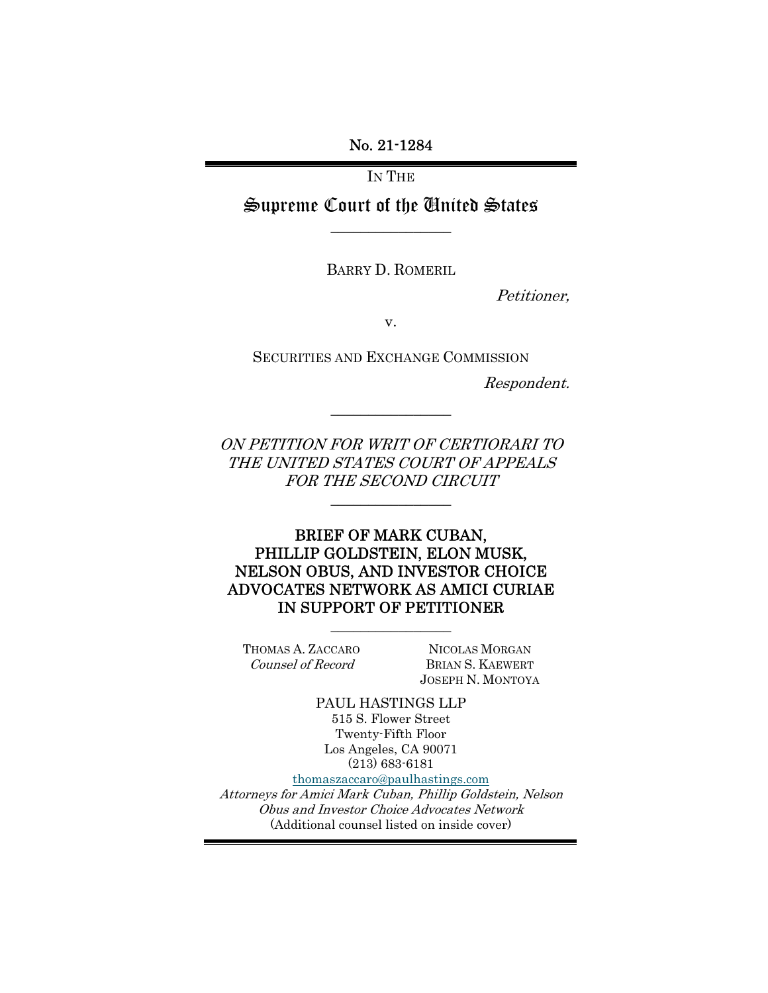No. 21-1284

IN THE

Supreme Court of the United States  $\overline{\phantom{a}}$  , where  $\overline{\phantom{a}}$ 

BARRY D. ROMERIL

Petitioner,

v.

SECURITIES AND EXCHANGE COMMISSION

Respondent.

ON PETITION FOR WRIT OF CERTIORARI TO THE UNITED STATES COURT OF APPEALS FOR THE SECOND CIRCUIT

 $\overline{\phantom{a}}$  , where  $\overline{\phantom{a}}$ 

 $\overline{\phantom{a}}$  , where  $\overline{\phantom{a}}$ 

### BRIEF OF MARK CUBAN, PHILLIP GOLDSTEIN, ELON MUSK, NELSON OBUS, AND INVESTOR CHOICE ADVOCATES NETWORK AS AMICI CURIAE IN SUPPORT OF PETITIONER

 $\overline{\phantom{a}}$  , where  $\overline{\phantom{a}}$ 

THOMAS A. ZACCARO Counsel of Record

NICOLAS MORGAN BRIAN S. KAEWERT JOSEPH N. MONTOYA

PAUL HASTINGS LLP 515 S. Flower Street Twenty-Fifth Floor Los Angeles, CA 90071 (213) 683-6181

thomaszaccaro@paulhastings.com Attorneys for Amici Mark Cuban, Phillip Goldstein, Nelson Obus and Investor Choice Advocates Network (Additional counsel listed on inside cover)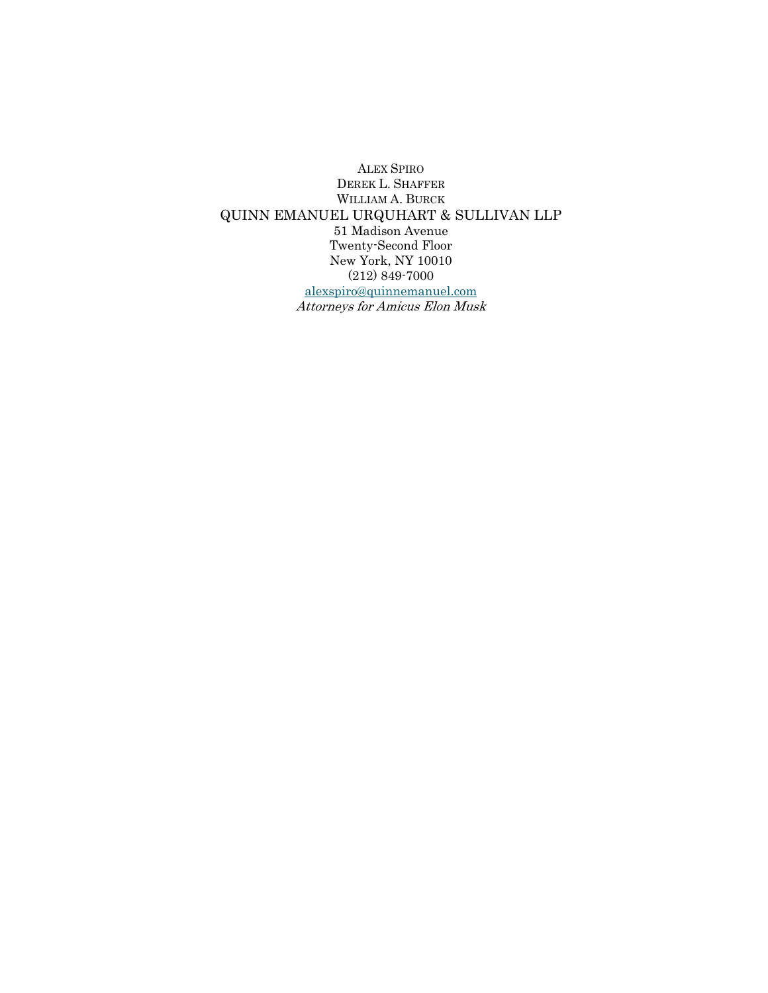ALEX SPIRO DEREK L. SHAFFER WILLIAM A. BURCK QUINN EMANUEL URQUHART & SULLIVAN LLP 51 Madison Avenue Twenty-Second Floor New York, NY 10010 (212) 849-7000 alexspiro@quinnemanuel.com Attorneys for Amicus Elon Musk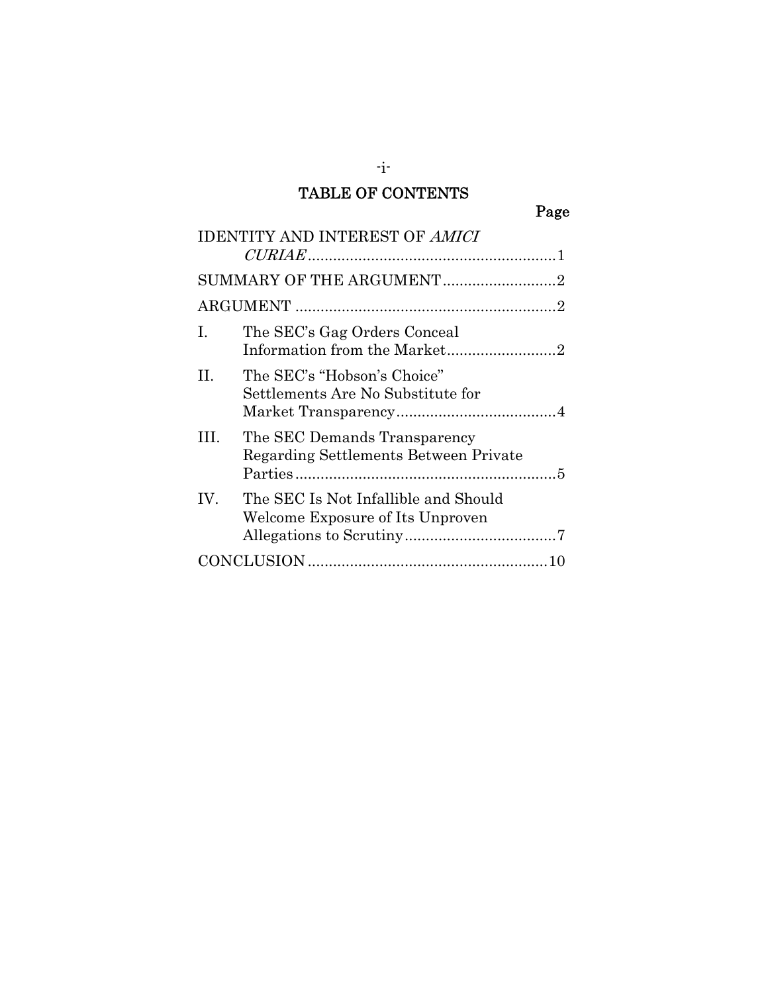# TABLE OF CONTENTS

-i-

|     | <b>IDENTITY AND INTEREST OF AMICI</b>                                    |  |
|-----|--------------------------------------------------------------------------|--|
|     |                                                                          |  |
|     |                                                                          |  |
|     |                                                                          |  |
| L.  | The SEC's Gag Orders Conceal                                             |  |
| H.  | The SEC's "Hobson's Choice"<br>Settlements Are No Substitute for         |  |
| Ш   | The SEC Demands Transparency<br>Regarding Settlements Between Private    |  |
| IV. | The SEC Is Not Infallible and Should<br>Welcome Exposure of Its Unproven |  |
|     |                                                                          |  |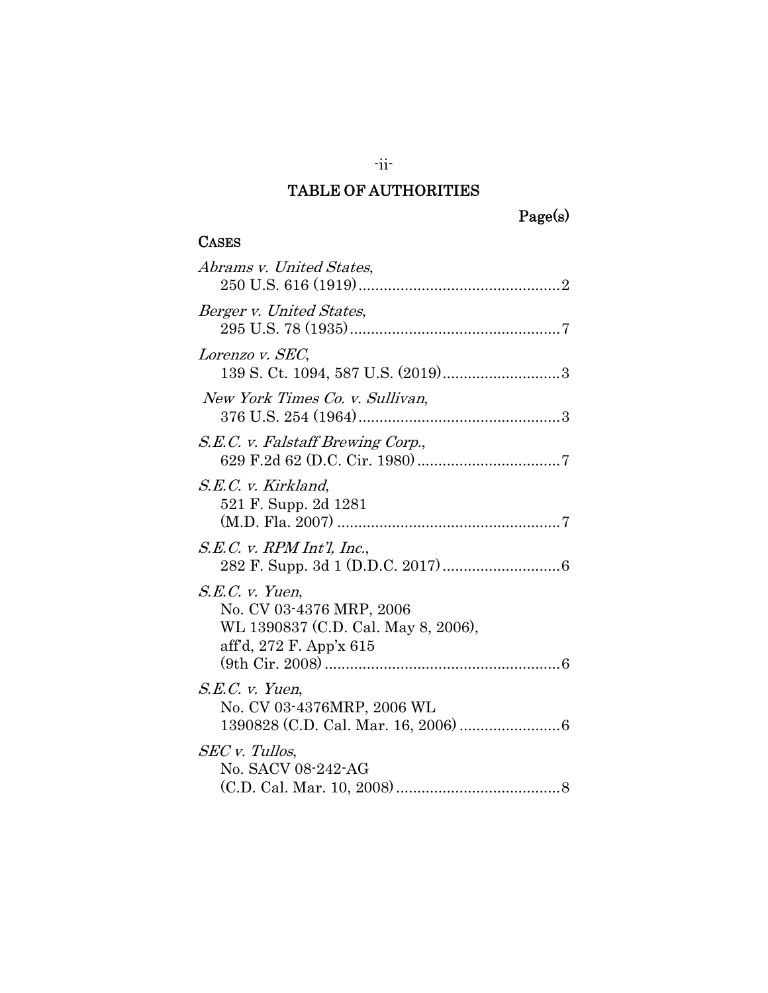# TABLE OF AUTHORITIES

-ii-

## CASES

| Abrams v. United States,                                                                                      |
|---------------------------------------------------------------------------------------------------------------|
| Berger v. United States,                                                                                      |
| Lorenzo v. SEC,                                                                                               |
| New York Times Co. v. Sullivan,                                                                               |
| S.E.C. v. Falstaff Brewing Corp.,                                                                             |
| S.E.C. v. Kirkland,<br>521 F. Supp. 2d 1281                                                                   |
| $S.E.C.$ v. $RPMInt$ <sup><math>\it{Int}</math><math>\it{Inc.}</math>,</sup>                                  |
| S.E.C. v. Yuen,<br>No. CV 03-4376 MRP, 2006<br>WL 1390837 (C.D. Cal. May 8, 2006),<br>aff'd, 272 F. App'x 615 |
| S.E.C. v. Yuen,<br>No. CV 03-4376MRP, 2006 WL                                                                 |
| SEC v. Tullos,<br>No. SACV 08-242-AG                                                                          |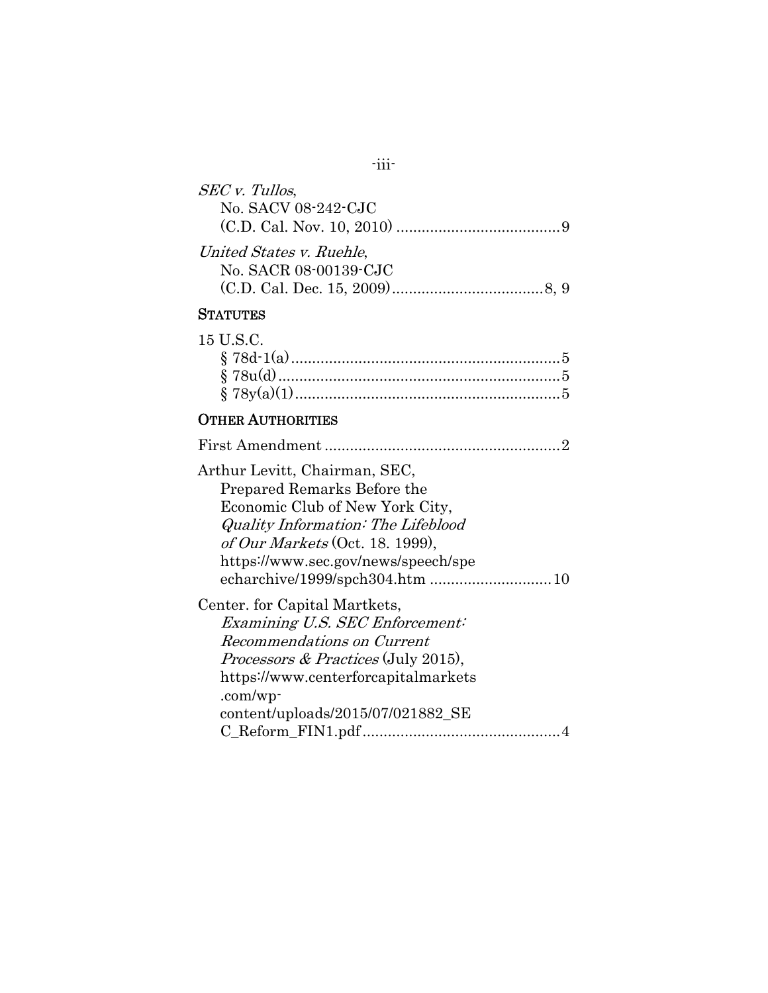-iii-

| <i>SEC v.</i> Tullos,    |  |
|--------------------------|--|
| No. SACV 08-242-CJC      |  |
|                          |  |
| United States v. Ruehle, |  |
| No. SACR 08-00139-CJC    |  |
|                          |  |

## **STATUTES**

| 15 U.S.C. |  |
|-----------|--|
|           |  |
|           |  |
|           |  |

# OTHER AUTHORITIES

| Arthur Levitt, Chairman, SEC,                  |
|------------------------------------------------|
| Prepared Remarks Before the                    |
| Economic Club of New York City,                |
| Quality Information: The Lifeblood             |
| of Our Markets (Oct. 18. 1999),                |
| https://www.sec.gov/news/speech/spe            |
|                                                |
| Center. for Capital Martkets,                  |
| Examining U.S. SEC Enforcement:                |
| Recommendations on Current                     |
| <i>Processors &amp; Practices</i> (July 2015), |
| https://www.centerforcapitalmarkets            |
| .com/wp-                                       |
| content/uploads/2015/07/021882 SE              |
|                                                |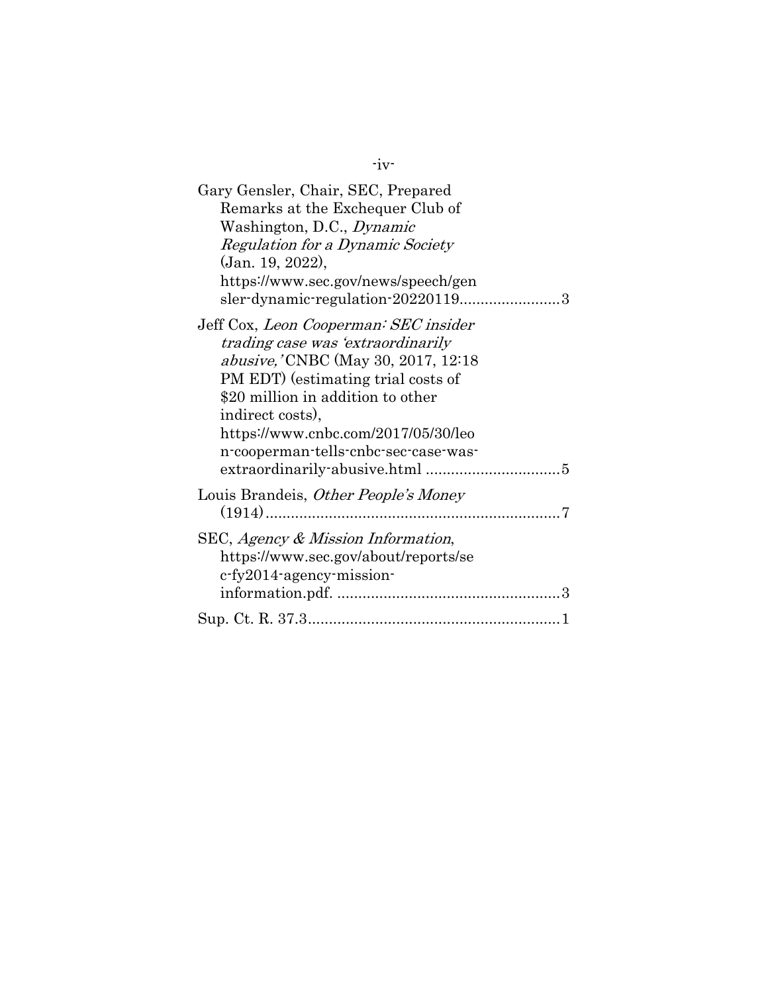| Gary Gensler, Chair, SEC, Prepared<br>Remarks at the Exchequer Club of<br>Washington, D.C., <i>Dynamic</i><br>Regulation for a Dynamic Society<br>(Jan. 19, 2022),<br>https://www.sec.gov/news/speech/gen<br>sler-dynamic-regulation-202201193                                                         |
|--------------------------------------------------------------------------------------------------------------------------------------------------------------------------------------------------------------------------------------------------------------------------------------------------------|
| Jeff Cox, Leon Cooperman: SEC insider<br>trading case was 'extraordinarily<br><i>abusive,</i> 'CNBC (May 30, 2017, 12:18<br>PM EDT) (estimating trial costs of<br>\$20 million in addition to other<br>indirect costs),<br>https://www.cnbc.com/2017/05/30/leo<br>n-cooperman-tells-cnbc-sec-case-was- |
| Louis Brandeis, Other People's Money                                                                                                                                                                                                                                                                   |
| SEC, Agency & Mission Information,<br>https://www.sec.gov/about/reports/se<br>c-fy2014-agency-mission-                                                                                                                                                                                                 |
|                                                                                                                                                                                                                                                                                                        |

-iv-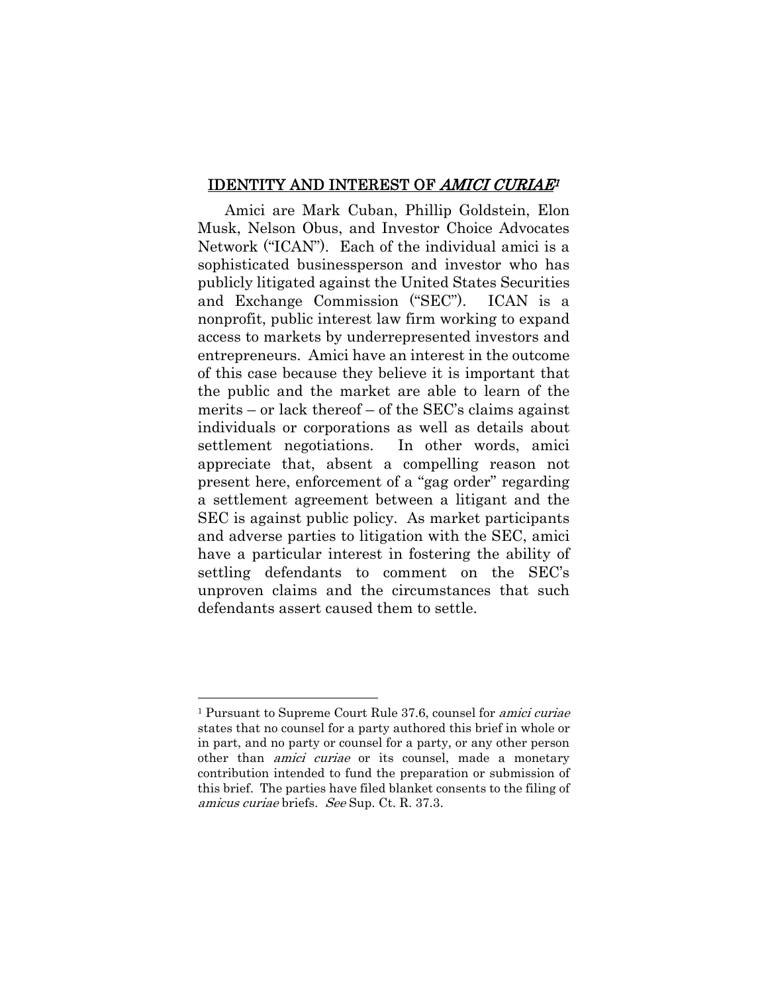#### IDENTITY AND INTEREST OF AMICI CURIAE<sup>1</sup>

Amici are Mark Cuban, Phillip Goldstein, Elon Musk, Nelson Obus, and Investor Choice Advocates Network ("ICAN"). Each of the individual amici is a sophisticated businessperson and investor who has publicly litigated against the United States Securities and Exchange Commission ("SEC"). ICAN is a nonprofit, public interest law firm working to expand access to markets by underrepresented investors and entrepreneurs. Amici have an interest in the outcome of this case because they believe it is important that the public and the market are able to learn of the merits – or lack thereof – of the SEC's claims against individuals or corporations as well as details about settlement negotiations. In other words, amici appreciate that, absent a compelling reason not present here, enforcement of a "gag order" regarding a settlement agreement between a litigant and the SEC is against public policy. As market participants and adverse parties to litigation with the SEC, amici have a particular interest in fostering the ability of settling defendants to comment on the SEC's unproven claims and the circumstances that such defendants assert caused them to settle.

<sup>1</sup> Pursuant to Supreme Court Rule 37.6, counsel for amici curiae states that no counsel for a party authored this brief in whole or in part, and no party or counsel for a party, or any other person other than *amici curiae* or its counsel, made a monetary contribution intended to fund the preparation or submission of this brief. The parties have filed blanket consents to the filing of amicus curiae briefs. See Sup. Ct. R. 37.3.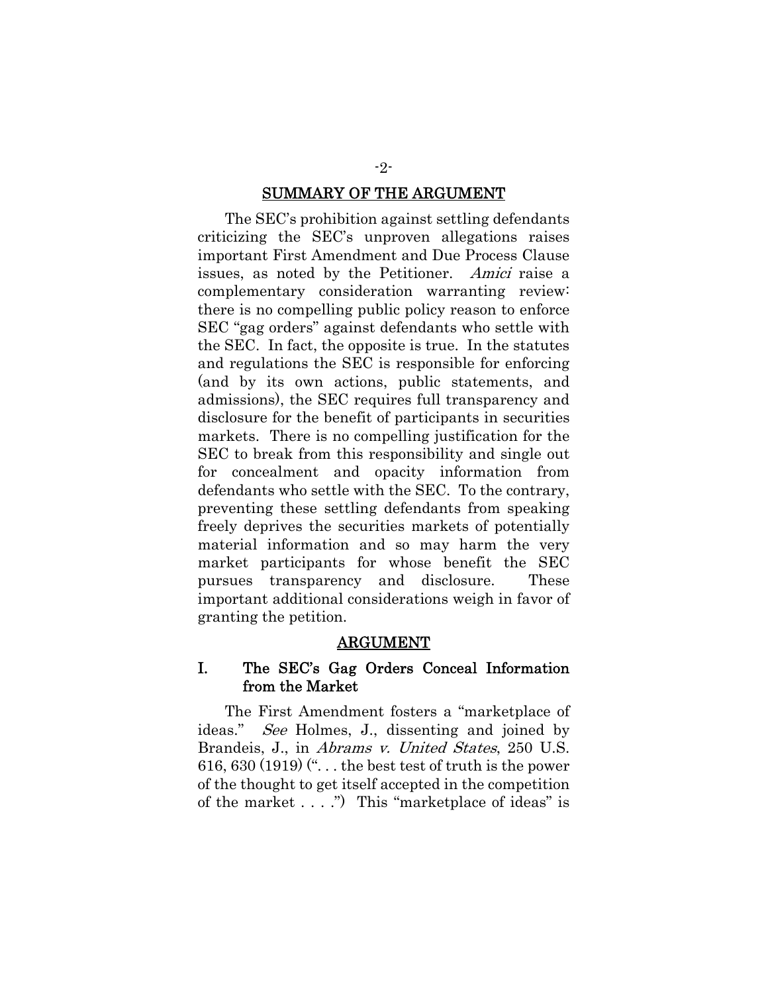#### SUMMARY OF THE ARGUMENT

The SEC's prohibition against settling defendants criticizing the SEC's unproven allegations raises important First Amendment and Due Process Clause issues, as noted by the Petitioner. Amici raise a complementary consideration warranting review: there is no compelling public policy reason to enforce SEC "gag orders" against defendants who settle with the SEC. In fact, the opposite is true. In the statutes and regulations the SEC is responsible for enforcing (and by its own actions, public statements, and admissions), the SEC requires full transparency and disclosure for the benefit of participants in securities markets. There is no compelling justification for the SEC to break from this responsibility and single out for concealment and opacity information from defendants who settle with the SEC. To the contrary, preventing these settling defendants from speaking freely deprives the securities markets of potentially material information and so may harm the very market participants for whose benefit the SEC pursues transparency and disclosure. These important additional considerations weigh in favor of granting the petition.

#### ARGUMENT

### I. The SEC's Gag Orders Conceal Information from the Market

The First Amendment fosters a "marketplace of ideas." See Holmes, J., dissenting and joined by Brandeis, J., in *Abrams v. United States*, 250 U.S. 616, 630 (1919) (". . . the best test of truth is the power of the thought to get itself accepted in the competition of the market  $\dots$  .") This "marketplace of ideas" is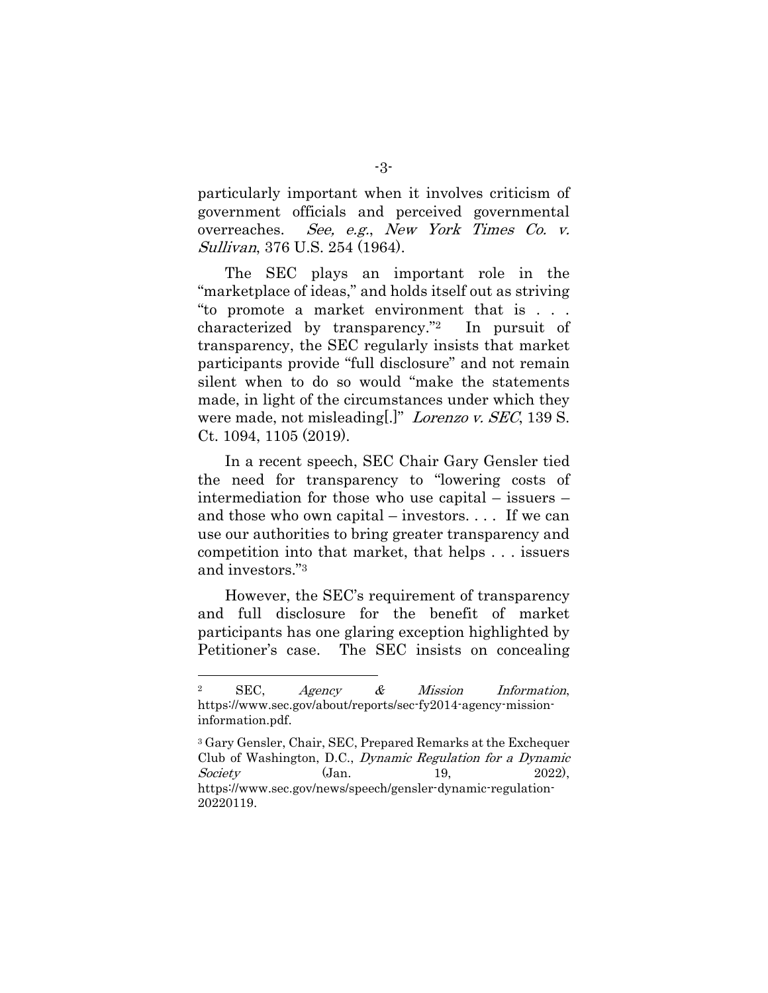particularly important when it involves criticism of government officials and perceived governmental overreaches. See, e.g., New York Times Co. v. Sullivan, 376 U.S. 254 (1964).

The SEC plays an important role in the "marketplace of ideas," and holds itself out as striving "to promote a market environment that is . . . characterized by transparency."2 In pursuit of transparency, the SEC regularly insists that market participants provide "full disclosure" and not remain silent when to do so would "make the statements made, in light of the circumstances under which they were made, not misleading..." *Lorenzo v. SEC*, 139 S. Ct. 1094, 1105 (2019).

In a recent speech, SEC Chair Gary Gensler tied the need for transparency to "lowering costs of intermediation for those who use capital – issuers – and those who own capital – investors. . . . If we can use our authorities to bring greater transparency and competition into that market, that helps . . . issuers and investors."3

However, the SEC's requirement of transparency and full disclosure for the benefit of market participants has one glaring exception highlighted by Petitioner's case. The SEC insists on concealing

 $\text{SEC}, \quad \text{Agency} \quad \& \quad \text{Mission} \quad \text{Information},$ https://www.sec.gov/about/reports/sec-fy2014-agency-missioninformation.pdf.

<sup>3</sup> Gary Gensler, Chair, SEC, Prepared Remarks at the Exchequer Club of Washington, D.C., Dynamic Regulation for a Dynamic Society (Jan. 19, 2022), https://www.sec.gov/news/speech/gensler-dynamic-regulation-20220119.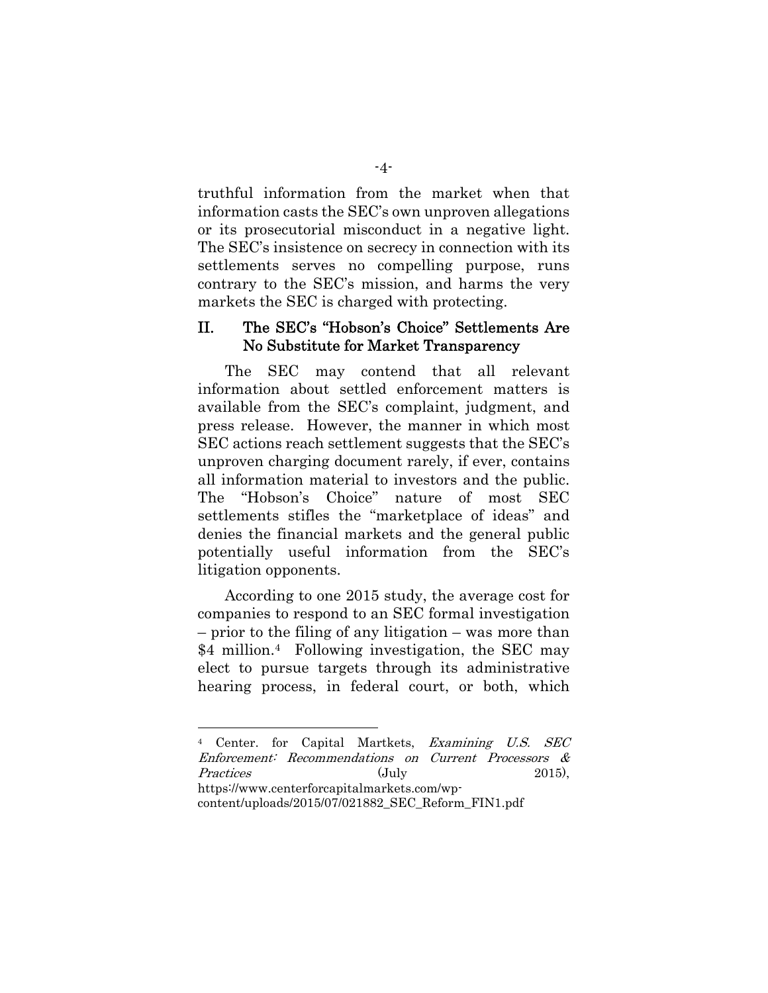truthful information from the market when that information casts the SEC's own unproven allegations or its prosecutorial misconduct in a negative light. The SEC's insistence on secrecy in connection with its settlements serves no compelling purpose, runs contrary to the SEC's mission, and harms the very markets the SEC is charged with protecting.

### II. The SEC's "Hobson's Choice" Settlements Are No Substitute for Market Transparency

The SEC may contend that all relevant information about settled enforcement matters is available from the SEC's complaint, judgment, and press release. However, the manner in which most SEC actions reach settlement suggests that the SEC's unproven charging document rarely, if ever, contains all information material to investors and the public. The "Hobson's Choice" nature of most SEC settlements stifles the "marketplace of ideas" and denies the financial markets and the general public potentially useful information from the SEC's litigation opponents.

According to one 2015 study, the average cost for companies to respond to an SEC formal investigation – prior to the filing of any litigation – was more than \$4 million.<sup>4</sup> Following investigation, the SEC may elect to pursue targets through its administrative hearing process, in federal court, or both, which

Center. for Capital Martkets, Examining U.S. SEC Enforcement: Recommendations on Current Processors & Practices (July 2015), https://www.centerforcapitalmarkets.com/wpcontent/uploads/2015/07/021882\_SEC\_Reform\_FIN1.pdf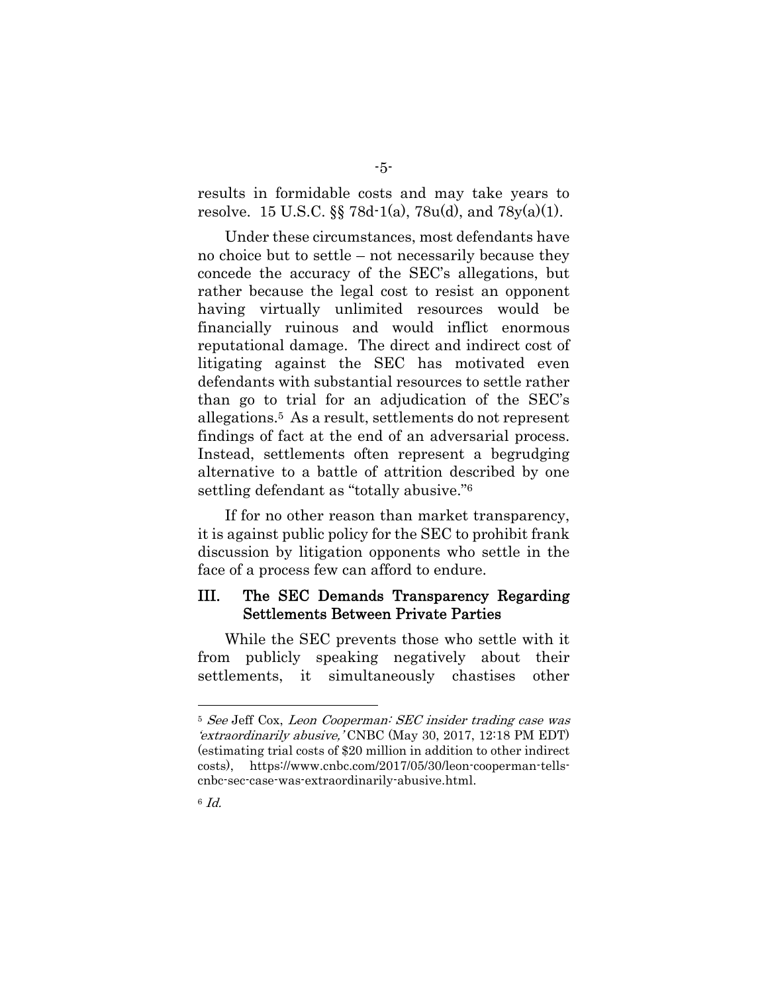results in formidable costs and may take years to resolve. 15 U.S.C.  $\S$  78d-1(a), 78u(d), and 78y(a)(1).

Under these circumstances, most defendants have no choice but to settle – not necessarily because they concede the accuracy of the SEC's allegations, but rather because the legal cost to resist an opponent having virtually unlimited resources would be financially ruinous and would inflict enormous reputational damage. The direct and indirect cost of litigating against the SEC has motivated even defendants with substantial resources to settle rather than go to trial for an adjudication of the SEC's allegations.5 As a result, settlements do not represent findings of fact at the end of an adversarial process. Instead, settlements often represent a begrudging alternative to a battle of attrition described by one settling defendant as "totally abusive."6

If for no other reason than market transparency, it is against public policy for the SEC to prohibit frank discussion by litigation opponents who settle in the face of a process few can afford to endure.

### III. The SEC Demands Transparency Regarding Settlements Between Private Parties

While the SEC prevents those who settle with it from publicly speaking negatively about their settlements, it simultaneously chastises other

<sup>5</sup> See Jeff Cox, Leon Cooperman: SEC insider trading case was 'extraordinarily abusive,' CNBC (May 30, 2017, 12:18 PM EDT) (estimating trial costs of \$20 million in addition to other indirect costs), https://www.cnbc.com/2017/05/30/leon-cooperman-tellscnbc-sec-case-was-extraordinarily-abusive.html.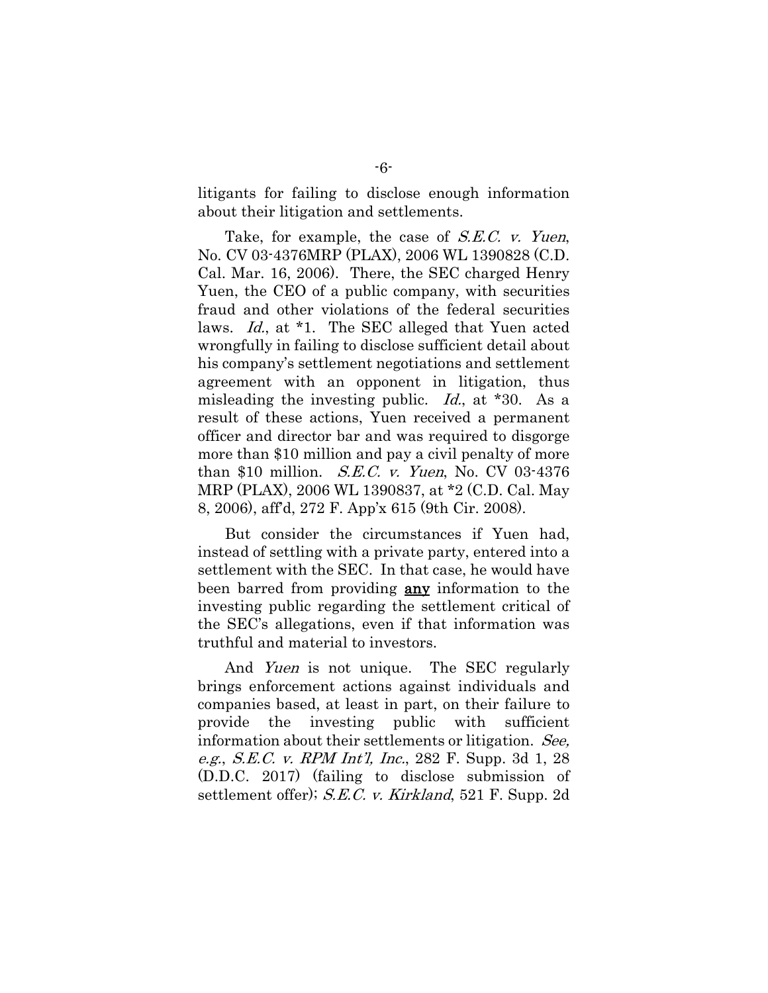litigants for failing to disclose enough information about their litigation and settlements.

Take, for example, the case of S.E.C. v. Yuen, No. CV 03-4376MRP (PLAX), 2006 WL 1390828 (C.D. Cal. Mar. 16, 2006). There, the SEC charged Henry Yuen, the CEO of a public company, with securities fraud and other violations of the federal securities laws. Id., at \*1. The SEC alleged that Yuen acted wrongfully in failing to disclose sufficient detail about his company's settlement negotiations and settlement agreement with an opponent in litigation, thus misleading the investing public.  $Id$ , at \*30. As a result of these actions, Yuen received a permanent officer and director bar and was required to disgorge more than \$10 million and pay a civil penalty of more than \$10 million. *S.E.C. v. Yuen*, No. CV 03-4376 MRP (PLAX), 2006 WL 1390837, at \*2 (C.D. Cal. May 8, 2006), aff'd, 272 F. App'x 615 (9th Cir. 2008).

But consider the circumstances if Yuen had, instead of settling with a private party, entered into a settlement with the SEC. In that case, he would have been barred from providing any information to the investing public regarding the settlement critical of the SEC's allegations, even if that information was truthful and material to investors.

And *Yuen* is not unique. The SEC regularly brings enforcement actions against individuals and companies based, at least in part, on their failure to provide the investing public with sufficient information about their settlements or litigation. See, e.g., S.E.C. v. RPM Int'l, Inc., 282 F. Supp. 3d 1, 28 (D.D.C. 2017) (failing to disclose submission of settlement offer); *S.E.C. v. Kirkland*, 521 F. Supp. 2d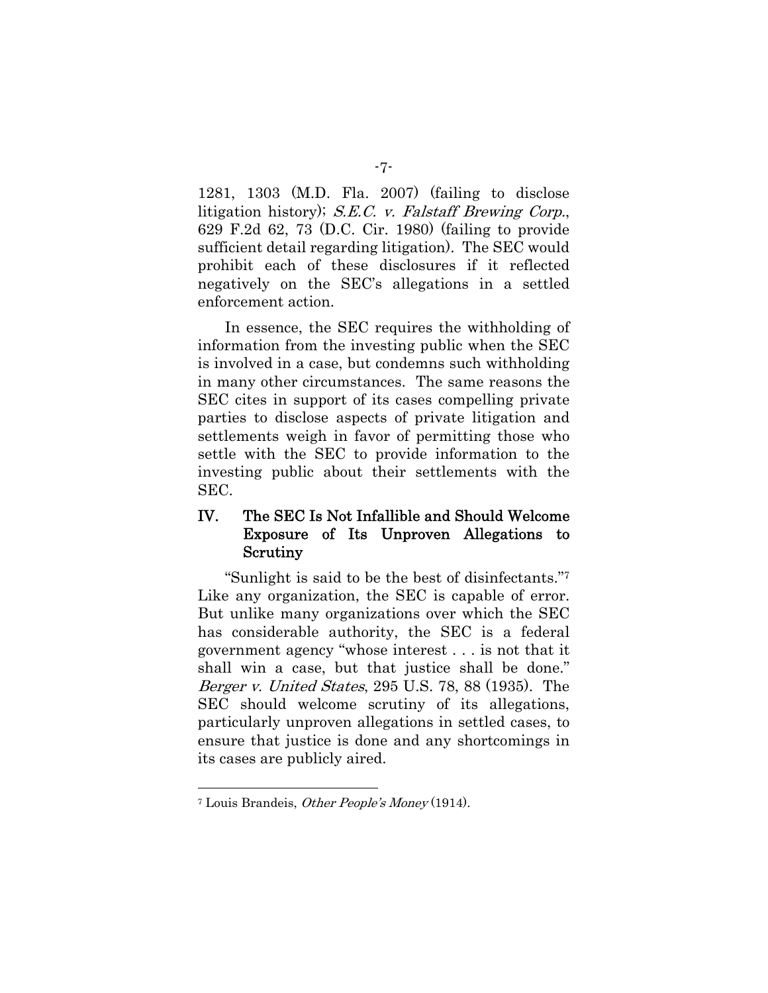1281, 1303 (M.D. Fla. 2007) (failing to disclose litigation history); S.E.C. v. Falstaff Brewing Corp., 629 F.2d 62, 73 (D.C. Cir. 1980) (failing to provide sufficient detail regarding litigation). The SEC would prohibit each of these disclosures if it reflected negatively on the SEC's allegations in a settled enforcement action.

In essence, the SEC requires the withholding of information from the investing public when the SEC is involved in a case, but condemns such withholding in many other circumstances. The same reasons the SEC cites in support of its cases compelling private parties to disclose aspects of private litigation and settlements weigh in favor of permitting those who settle with the SEC to provide information to the investing public about their settlements with the SEC.

### IV. The SEC Is Not Infallible and Should Welcome Exposure of Its Unproven Allegations to Scrutiny

"Sunlight is said to be the best of disinfectants."7 Like any organization, the SEC is capable of error. But unlike many organizations over which the SEC has considerable authority, the SEC is a federal government agency "whose interest . . . is not that it shall win a case, but that justice shall be done." Berger v. United States, 295 U.S. 78, 88 (1935). The SEC should welcome scrutiny of its allegations, particularly unproven allegations in settled cases, to ensure that justice is done and any shortcomings in its cases are publicly aired.

<sup>7</sup> Louis Brandeis, Other People's Money (1914).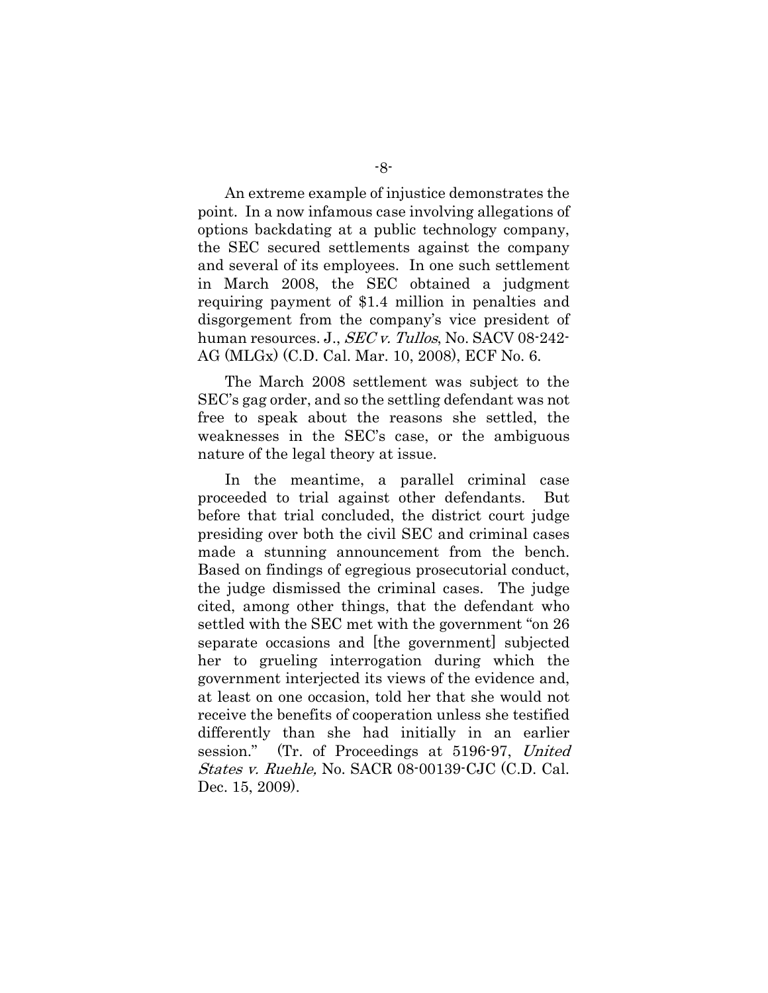An extreme example of injustice demonstrates the point. In a now infamous case involving allegations of options backdating at a public technology company, the SEC secured settlements against the company and several of its employees. In one such settlement in March 2008, the SEC obtained a judgment requiring payment of \$1.4 million in penalties and disgorgement from the company's vice president of human resources. J., *SEC v. Tullos*, No. SACV 08-242-AG (MLGx) (C.D. Cal. Mar. 10, 2008), ECF No. 6.

The March 2008 settlement was subject to the SEC's gag order, and so the settling defendant was not free to speak about the reasons she settled, the weaknesses in the SEC's case, or the ambiguous nature of the legal theory at issue.

In the meantime, a parallel criminal case proceeded to trial against other defendants. But before that trial concluded, the district court judge presiding over both the civil SEC and criminal cases made a stunning announcement from the bench. Based on findings of egregious prosecutorial conduct, the judge dismissed the criminal cases. The judge cited, among other things, that the defendant who settled with the SEC met with the government "on 26 separate occasions and [the government] subjected her to grueling interrogation during which the government interjected its views of the evidence and, at least on one occasion, told her that she would not receive the benefits of cooperation unless she testified differently than she had initially in an earlier session." (Tr. of Proceedings at 5196-97, United States v. Ruehle, No. SACR 08-00139-CJC (C.D. Cal. Dec. 15, 2009).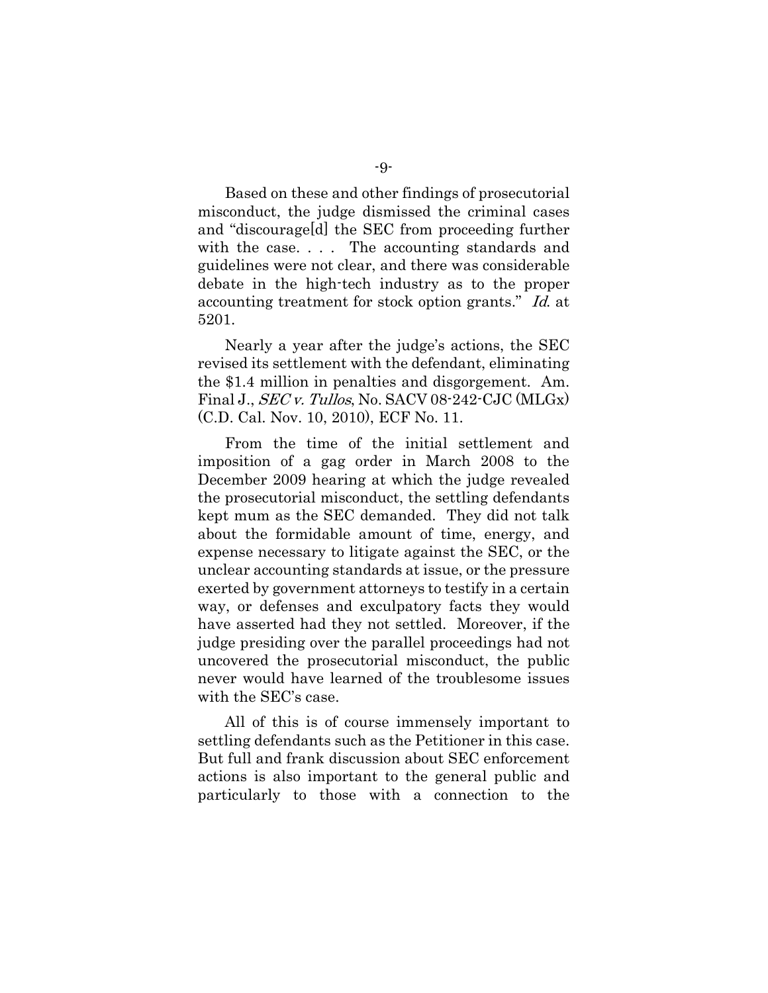Based on these and other findings of prosecutorial misconduct, the judge dismissed the criminal cases and "discourage[d] the SEC from proceeding further with the case. . . . The accounting standards and guidelines were not clear, and there was considerable debate in the high-tech industry as to the proper accounting treatment for stock option grants." Id. at 5201.

Nearly a year after the judge's actions, the SEC revised its settlement with the defendant, eliminating the \$1.4 million in penalties and disgorgement. Am. Final J., SEC v. Tullos, No. SACV 08-242-CJC (MLGx) (C.D. Cal. Nov. 10, 2010), ECF No. 11.

From the time of the initial settlement and imposition of a gag order in March 2008 to the December 2009 hearing at which the judge revealed the prosecutorial misconduct, the settling defendants kept mum as the SEC demanded. They did not talk about the formidable amount of time, energy, and expense necessary to litigate against the SEC, or the unclear accounting standards at issue, or the pressure exerted by government attorneys to testify in a certain way, or defenses and exculpatory facts they would have asserted had they not settled. Moreover, if the judge presiding over the parallel proceedings had not uncovered the prosecutorial misconduct, the public never would have learned of the troublesome issues with the SEC's case.

All of this is of course immensely important to settling defendants such as the Petitioner in this case. But full and frank discussion about SEC enforcement actions is also important to the general public and particularly to those with a connection to the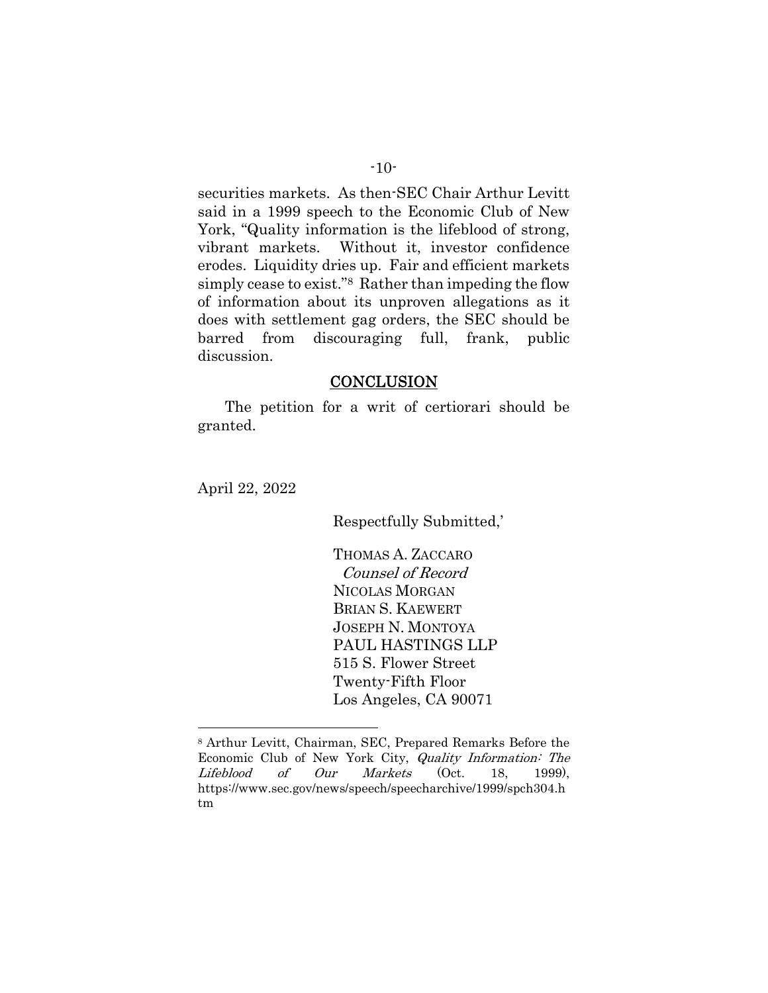securities markets. As then-SEC Chair Arthur Levitt said in a 1999 speech to the Economic Club of New York, "Quality information is the lifeblood of strong, vibrant markets. Without it, investor confidence erodes. Liquidity dries up. Fair and efficient markets simply cease to exist."8 Rather than impeding the flow of information about its unproven allegations as it does with settlement gag orders, the SEC should be barred from discouraging full, frank, public discussion.

#### **CONCLUSION**

The petition for a writ of certiorari should be granted.

April 22, 2022

 $\overline{a}$ 

Respectfully Submitted,'

THOMAS A. ZACCARO Counsel of Record NICOLAS MORGAN BRIAN S. KAEWERT JOSEPH N. MONTOYA PAUL HASTINGS LLP 515 S. Flower Street Twenty-Fifth Floor Los Angeles, CA 90071

<sup>8</sup> Arthur Levitt, Chairman, SEC, Prepared Remarks Before the Economic Club of New York City, Quality Information: The Lifeblood of Our Markets (Oct. 18, 1999), https://www.sec.gov/news/speech/speecharchive/1999/spch304.h tm